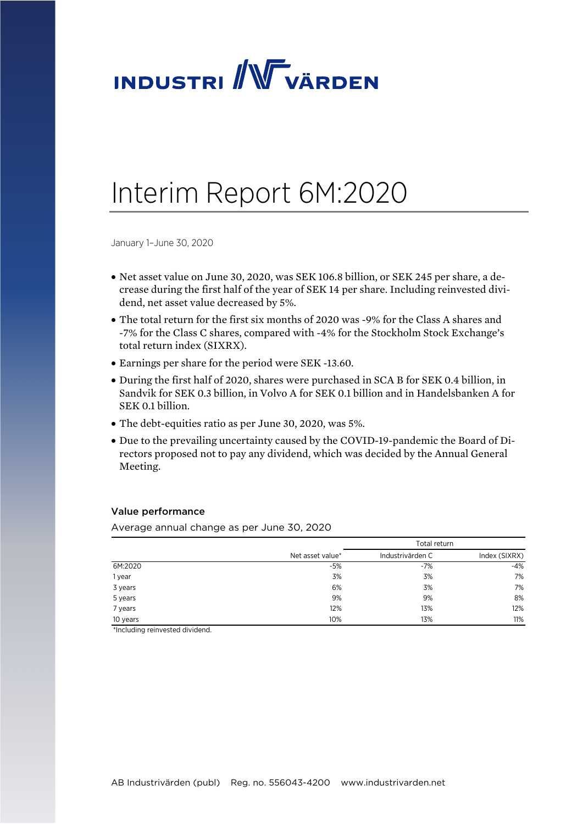

# Interim Report 6M:2020

January 1–June 30, 2020

- Net asset value on June 30, 2020, was SEK 106.8 billion, or SEK 245 per share, a decrease during the first half of the year of SEK 14 per share. Including reinvested dividend, net asset value decreased by 5%.
- The total return for the first six months of 2020 was -9% for the Class A shares and -7% for the Class C shares, compared with -4% for the Stockholm Stock Exchange's total return index (SIXRX).
- Earnings per share for the period were SEK -13.60.
- During the first half of 2020, shares were purchased in SCA B for SEK 0.4 billion, in Sandvik for SEK 0.3 billion, in Volvo A for SEK 0.1 billion and in Handelsbanken A for SEK 0.1 billion.
- The debt-equities ratio as per June 30, 2020, was 5%.
- Due to the prevailing uncertainty caused by the COVID-19-pandemic the Board of Directors proposed not to pay any dividend, which was decided by the Annual General Meeting.

#### Value performance

Average annual change as per June 30, 2020

|                                                                      |                  | Total return     |               |  |
|----------------------------------------------------------------------|------------------|------------------|---------------|--|
|                                                                      | Net asset value* | Industrivärden C | Index (SIXRX) |  |
| 6M:2020                                                              | $-5%$            | $-7%$            | $-4%$         |  |
| 1 year                                                               | 3%               | 3%               | 7%            |  |
| 3 years                                                              | 6%               | 3%               | 7%            |  |
| 5 years                                                              | 9%               | 9%               | 8%            |  |
| 7 years                                                              | 12%              | 13%              | 12%           |  |
| 10 years<br>$\sim$ $\sim$ $\sim$ $\sim$ $\sim$ $\sim$<br>.<br>$\sim$ | 10%              | 13%              | 11%           |  |

\*Including reinvested dividend.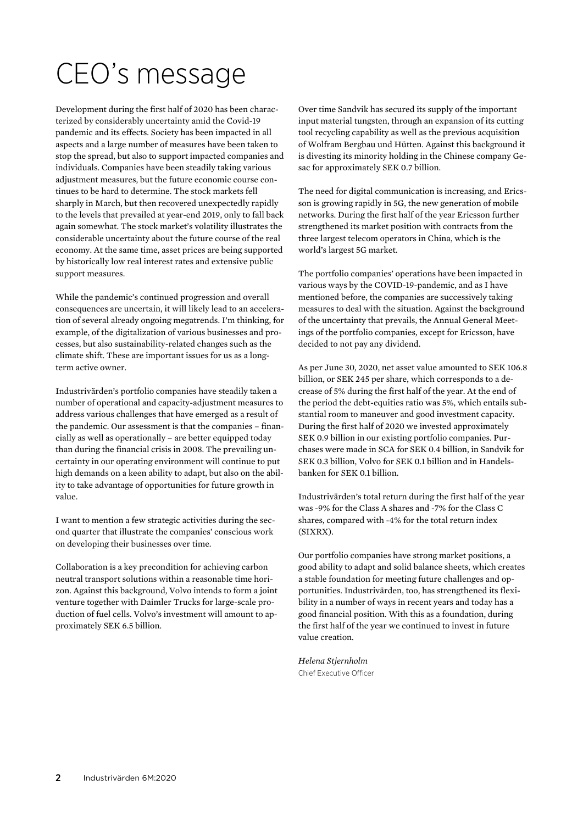# CEO's message

Development during the first half of 2020 has been characterized by considerably uncertainty amid the Covid-19 pandemic and its effects. Society has been impacted in all aspects and a large number of measures have been taken to stop the spread, but also to support impacted companies and individuals. Companies have been steadily taking various adjustment measures, but the future economic course continues to be hard to determine. The stock markets fell sharply in March, but then recovered unexpectedly rapidly to the levels that prevailed at year-end 2019, only to fall back again somewhat. The stock market's volatility illustrates the considerable uncertainty about the future course of the real economy. At the same time, asset prices are being supported by historically low real interest rates and extensive public support measures.

While the pandemic's continued progression and overall consequences are uncertain, it will likely lead to an acceleration of several already ongoing megatrends. I'm thinking, for example, of the digitalization of various businesses and processes, but also sustainability-related changes such as the climate shift. These are important issues for us as a longterm active owner.

Industrivärden's portfolio companies have steadily taken a number of operational and capacity-adjustment measures to address various challenges that have emerged as a result of the pandemic. Our assessment is that the companies – financially as well as operationally – are better equipped today than during the financial crisis in 2008. The prevailing uncertainty in our operating environment will continue to put high demands on a keen ability to adapt, but also on the ability to take advantage of opportunities for future growth in value.

I want to mention a few strategic activities during the second quarter that illustrate the companies' conscious work on developing their businesses over time.

Collaboration is a key precondition for achieving carbon neutral transport solutions within a reasonable time horizon. Against this background, Volvo intends to form a joint venture together with Daimler Trucks for large-scale production of fuel cells. Volvo's investment will amount to approximately SEK 6.5 billion.

Over time Sandvik has secured its supply of the important input material tungsten, through an expansion of its cutting tool recycling capability as well as the previous acquisition of Wolfram Bergbau und Hütten. Against this background it is divesting its minority holding in the Chinese company Gesac for approximately SEK 0.7 billion.

The need for digital communication is increasing, and Ericsson is growing rapidly in 5G, the new generation of mobile networks. During the first half of the year Ericsson further strengthened its market position with contracts from the three largest telecom operators in China, which is the world's largest 5G market.

The portfolio companies' operations have been impacted in various ways by the COVID-19-pandemic, and as I have mentioned before, the companies are successively taking measures to deal with the situation. Against the background of the uncertainty that prevails, the Annual General Meetings of the portfolio companies, except for Ericsson, have decided to not pay any dividend.

As per June 30, 2020, net asset value amounted to SEK 106.8 billion, or SEK 245 per share, which corresponds to a decrease of 5% during the first half of the year. At the end of the period the debt-equities ratio was 5%, which entails substantial room to maneuver and good investment capacity. During the first half of 2020 we invested approximately SEK 0.9 billion in our existing portfolio companies. Purchases were made in SCA for SEK 0.4 billion, in Sandvik for SEK 0.3 billion, Volvo for SEK 0.1 billion and in Handelsbanken for SEK 0.1 billion.

Industrivärden's total return during the first half of the year was -9% for the Class A shares and -7% for the Class C shares, compared with -4% for the total return index (SIXRX).

Our portfolio companies have strong market positions, a good ability to adapt and solid balance sheets, which creates a stable foundation for meeting future challenges and opportunities. Industrivärden, too, has strengthened its flexibility in a number of ways in recent years and today has a good financial position. With this as a foundation, during the first half of the year we continued to invest in future value creation.

*Helena Stjernholm*  Chief Executive Officer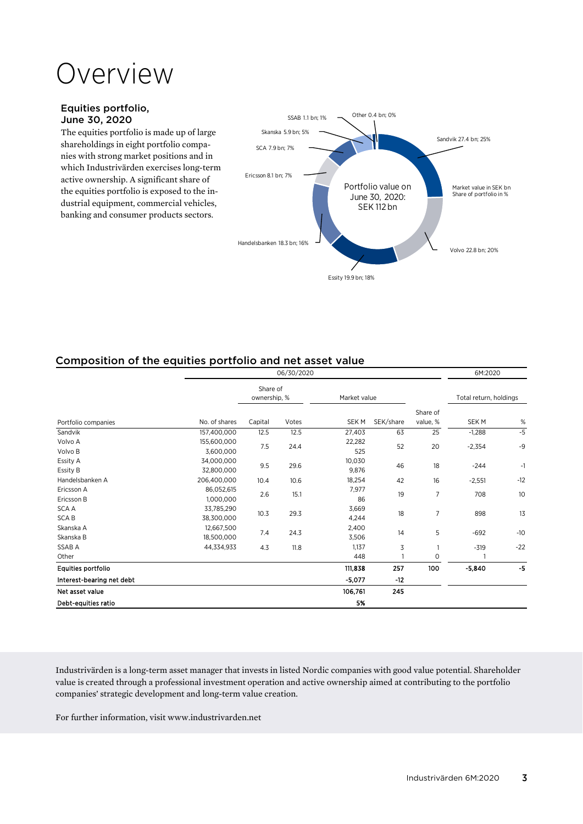# Overview

## Equities portfolio, June 30, 2020

The equities portfolio is made up of large shareholdings in eight portfolio companies with strong market positions and in which Industrivärden exercises long-term active ownership. A significant share of the equities portfolio is exposed to the industrial equipment, commercial vehicles, banking and consumer products sectors.



# Composition of the equities portfolio and net asset value

|                            |                          |                          | 06/30/2020 |                 |           |                      | 6M:2020                |       |
|----------------------------|--------------------------|--------------------------|------------|-----------------|-----------|----------------------|------------------------|-------|
|                            |                          | Share of<br>ownership, % |            | Market value    |           |                      | Total return, holdings |       |
| Portfolio companies        | No. of shares            | Capital                  | Votes      | <b>SEKM</b>     | SEK/share | Share of<br>value, % | SEK M                  | $\%$  |
| Sandvik                    | 157,400,000              | 12.5                     | 12.5       | 27,403          | 63        | 25                   | $-1,288$               | $-5$  |
| Volvo A<br>Volvo B         | 155,600,000<br>3,600,000 | 7.5                      | 24.4       | 22,282<br>525   | 52        | 20                   | $-2,354$               | $-9$  |
| Essity A<br>Essity B       | 34,000,000<br>32,800,000 | 9.5                      | 29.6       | 10,030<br>9,876 | 46        | 18                   | $-244$                 | $-1$  |
| Handelsbanken A            | 206,400,000              | 10.4                     | 10.6       | 18,254          | 42        | 16                   | $-2,551$               | $-12$ |
| Ericsson A<br>Ericsson B   | 86,052,615<br>1,000,000  | 2.6                      | 15.1       | 7,977<br>86     | 19        | $\overline{7}$       | 708                    | 10    |
| <b>SCAA</b><br><b>SCAB</b> | 33,785,290<br>38,300,000 | 10.3                     | 29.3       | 3,669<br>4,244  | 18        | $\overline{7}$       | 898                    | 13    |
| Skanska A<br>Skanska B     | 12,667,500<br>18,500,000 | 7.4                      | 24.3       | 2,400<br>3,506  | 14        | 5                    | $-692$                 | $-10$ |
| SSAB A                     | 44,334,933               | 4.3                      | 11.8       | 1,137           | 3         | 1                    | $-319$                 | $-22$ |
| Other                      |                          |                          |            | 448             |           | 0                    |                        |       |
| Equities portfolio         |                          |                          |            | 111,838         | 257       | 100                  | $-5,840$               | $-5$  |
| Interest-bearing net debt  |                          |                          |            | $-5,077$        | $-12$     |                      |                        |       |
| Net asset value            |                          |                          |            | 106,761         | 245       |                      |                        |       |
| Debt-equities ratio        |                          |                          |            | 5%              |           |                      |                        |       |

Industrivärden is a long-term asset manager that invests in listed Nordic companies with good value potential. Shareholder value is created through a professional investment operation and active ownership aimed at contributing to the portfolio companies' strategic development and long-term value creation.

For further information, visit www.industrivarden.net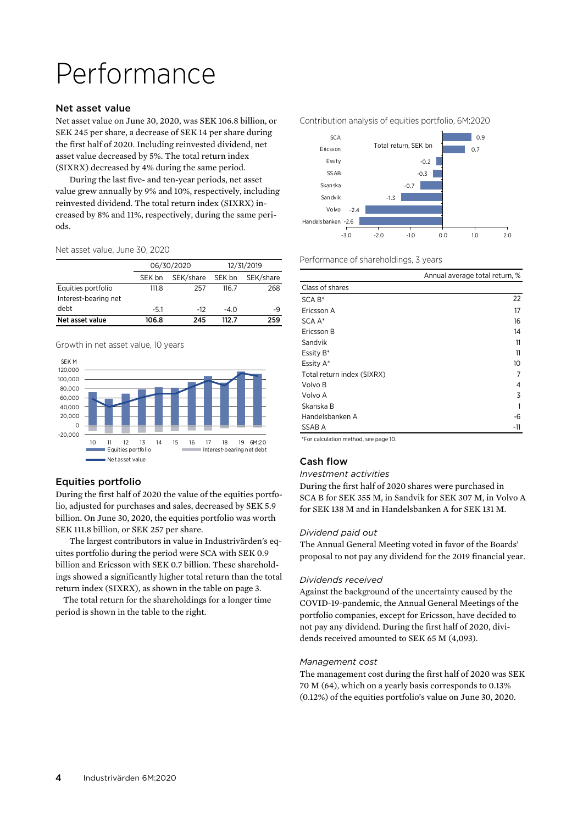# Performance

#### Net asset value

Net asset value on June 30, 2020, was SEK 106.8 billion, or SEK 245 per share, a decrease of SEK 14 per share during the first half of 2020. Including reinvested dividend, net asset value decreased by 5%. The total return index (SIXRX) decreased by 4% during the same period.

During the last five- and ten-year periods, net asset value grew annually by 9% and 10%, respectively, including reinvested dividend. The total return index (SIXRX) increased by 8% and 11%, respectively, during the same periods.

Net asset value, June 30, 2020

|                      |        | 06/30/2020 | 12/31/2019 |           |  |
|----------------------|--------|------------|------------|-----------|--|
|                      | SEK bn | SEK/share  | SEK bn     | SEK/share |  |
| Equities portfolio   | 111.8  | 257        | 116.7      | 268       |  |
| Interest-bearing net |        |            |            |           |  |
| debt                 | $-5.1$ | $-12$      | $-4.0$     | -9        |  |
| Net asset value      | 106.8  | 245        | 112 7      | 259       |  |

Growth in net asset value, 10 years



# Equities portfolio

During the first half of 2020 the value of the equities portfolio, adjusted for purchases and sales, decreased by SEK 5.9 billion. On June 30, 2020, the equities portfolio was worth SEK 111.8 billion, or SEK 257 per share.

The largest contributors in value in Industrivärden's equites portfolio during the period were SCA with SEK 0.9 billion and Ericsson with SEK 0.7 billion. These shareholdings showed a significantly higher total return than the total return index (SIXRX), as shown in the table on page 3.

 The total return for the shareholdings for a longer time period is shown in the table to the right.

Contribution analysis of equities portfolio, 6M:2020



Performance of shareholdings, 3 years

|                            | Annual average total return, % |
|----------------------------|--------------------------------|
| Class of shares            |                                |
| $SCA B*$                   | 22                             |
| Ericsson A                 | 17                             |
| SCA A*                     | 16                             |
| Ericsson B                 | 14                             |
| Sandvik                    | 11                             |
| Essity B*                  | 11                             |
| Essity A*                  | 10                             |
| Total return index (SIXRX) | 7                              |
| Volvo B                    | 4                              |
| Volvo A                    | 3                              |
| Skanska B                  |                                |
| Handelsbanken A            | -6                             |
| SSAB A                     | -11                            |

\*For calculation method, see page 10.

# Cash flow

#### *Investment activities*

During the first half of 2020 shares were purchased in SCA B for SEK 355 M, in Sandvik for SEK 307 M, in Volvo A for SEK 138 M and in Handelsbanken A for SEK 131 M.

#### *Dividend paid out*

The Annual General Meeting voted in favor of the Boards' proposal to not pay any dividend for the 2019 financial year.

#### *Dividends received*

Against the background of the uncertainty caused by the COVID-19-pandemic, the Annual General Meetings of the portfolio companies, except for Ericsson, have decided to not pay any dividend. During the first half of 2020, dividends received amounted to SEK 65 M (4,093).

#### *Management cost*

The management cost during the first half of 2020 was SEK 70 M (64), which on a yearly basis corresponds to 0.13% (0.12%) of the equities portfolio's value on June 30, 2020.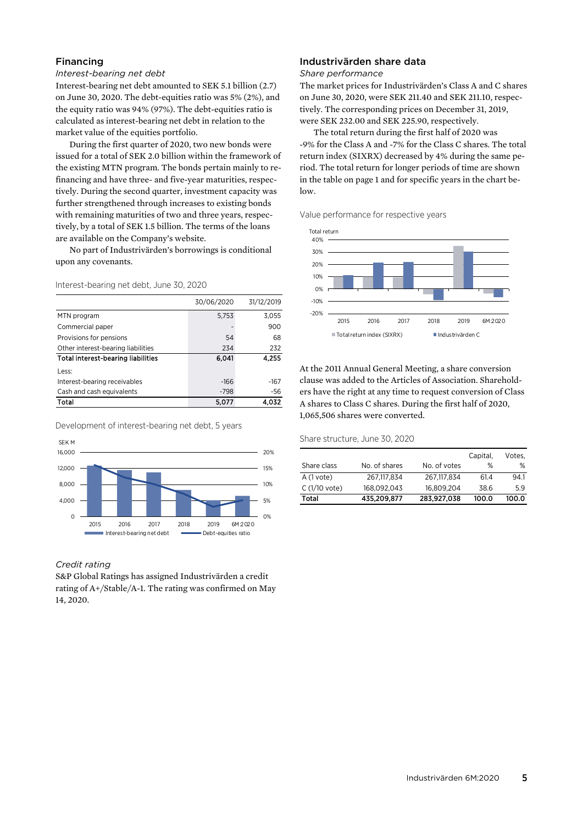# Financing

#### *Interest-bearing net debt*

Interest-bearing net debt amounted to SEK 5.1 billion (2.7) on June 30, 2020. The debt-equities ratio was 5% (2%), and the equity ratio was 94% (97%). The debt-equities ratio is calculated as interest-bearing net debt in relation to the market value of the equities portfolio.

During the first quarter of 2020, two new bonds were issued for a total of SEK 2.0 billion within the framework of the existing MTN program. The bonds pertain mainly to refinancing and have three- and five-year maturities, respectively. During the second quarter, investment capacity was further strengthened through increases to existing bonds with remaining maturities of two and three years, respectively, by a total of SEK 1.5 billion. The terms of the loans are available on the Company's website.

No part of Industrivärden's borrowings is conditional upon any covenants.

#### Interest-bearing net debt, June 30, 2020

|                                           | 30/06/2020 | 31/12/2019 |
|-------------------------------------------|------------|------------|
| MTN program                               | 5,753      | 3,055      |
| Commercial paper                          |            | 900        |
| Provisions for pensions                   | 54         | 68         |
| Other interest-bearing liabilities        | 234        | 232        |
| <b>Total interest-bearing liabilities</b> | 6,041      | 4,255      |
| Less:                                     |            |            |
| Interest-bearing receivables              | $-166$     | $-167$     |
| Cash and cash equivalents                 | $-798$     | -56        |
| Total                                     | 5.077      |            |

Development of interest-bearing net debt, 5 years



#### *Credit rating*

S&P Global Ratings has assigned Industrivärden a credit rating of A+/Stable/A-1. The rating was confirmed on May 14, 2020.

# Industrivärden share data

#### *Share performance*

The market prices for Industrivärden's Class A and C shares on June 30, 2020, were SEK 211.40 and SEK 211.10, respectively. The corresponding prices on December 31, 2019, were SEK 232.00 and SEK 225.90, respectively.

The total return during the first half of 2020 was -9% for the Class A and -7% for the Class C shares. The total return index (SIXRX) decreased by 4% during the same period. The total return for longer periods of time are shown in the table on page 1 and for specific years in the chart below.

Value performance for respective years



At the 2011 Annual General Meeting, a share conversion clause was added to the Articles of Association. Shareholders have the right at any time to request conversion of Class A shares to Class C shares. During the first half of 2020, 1,065,506 shares were converted.

Share structure, June 30, 2020

|                |               |              | Capital, | Votes, |
|----------------|---------------|--------------|----------|--------|
| Share class    | No. of shares | No. of votes | %        | ℅      |
| A (1 vote)     | 267.117.834   | 267.117.834  | 61.4     | 94.1   |
| $C(1/10$ vote) | 168.092.043   | 16.809.204   | 38.6     | 5.9    |
| Total          | 435,209,877   | 283.927.038  | 100.0    | 100.0  |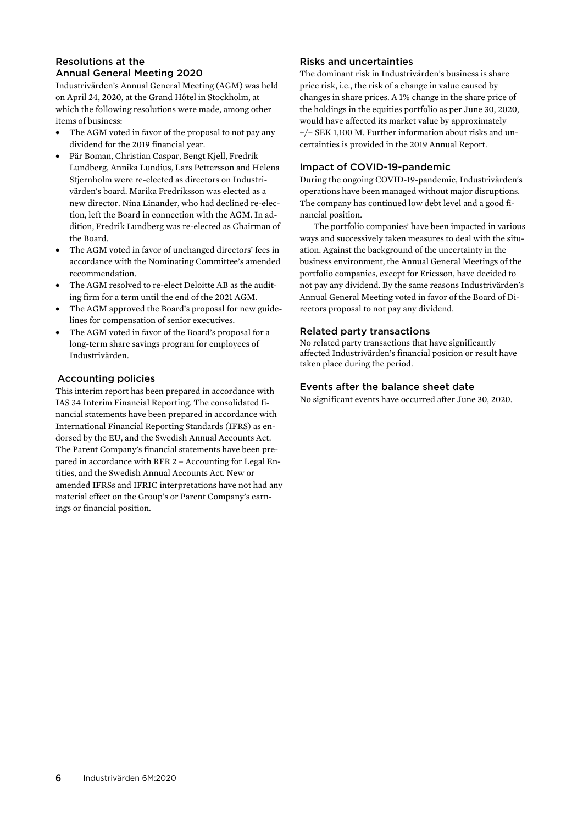# Resolutions at the Annual General Meeting 2020

Industrivärden's Annual General Meeting (AGM) was held on April 24, 2020, at the Grand Hôtel in Stockholm, at which the following resolutions were made, among other items of business:

- The AGM voted in favor of the proposal to not pay any dividend for the 2019 financial year.
- Pär Boman, Christian Caspar, Bengt Kjell, Fredrik Lundberg, Annika Lundius, Lars Pettersson and Helena Stjernholm were re-elected as directors on Industrivärden's board. Marika Fredriksson was elected as a new director. Nina Linander, who had declined re-election, left the Board in connection with the AGM. In addition, Fredrik Lundberg was re-elected as Chairman of the Board.
- The AGM voted in favor of unchanged directors' fees in accordance with the Nominating Committee's amended recommendation.
- The AGM resolved to re-elect Deloitte AB as the auditing firm for a term until the end of the 2021 AGM.
- The AGM approved the Board's proposal for new guidelines for compensation of senior executives.
- The AGM voted in favor of the Board's proposal for a long-term share savings program for employees of Industrivärden.

# Accounting policies

This interim report has been prepared in accordance with IAS 34 Interim Financial Reporting. The consolidated financial statements have been prepared in accordance with International Financial Reporting Standards (IFRS) as endorsed by the EU, and the Swedish Annual Accounts Act. The Parent Company's financial statements have been prepared in accordance with RFR 2 – Accounting for Legal Entities, and the Swedish Annual Accounts Act. New or amended IFRSs and IFRIC interpretations have not had any material effect on the Group's or Parent Company's earnings or financial position.

# Risks and uncertainties

The dominant risk in Industrivärden's business is share price risk, i.e., the risk of a change in value caused by changes in share prices. A 1% change in the share price of the holdings in the equities portfolio as per June 30, 2020, would have affected its market value by approximately +/– SEK 1,100 M. Further information about risks and uncertainties is provided in the 2019 Annual Report.

# Impact of COVID-19-pandemic

During the ongoing COVID-19-pandemic, Industrivärden's operations have been managed without major disruptions. The company has continued low debt level and a good financial position.

The portfolio companies' have been impacted in various ways and successively taken measures to deal with the situation. Against the background of the uncertainty in the business environment, the Annual General Meetings of the portfolio companies, except for Ericsson, have decided to not pay any dividend. By the same reasons Industrivärden's Annual General Meeting voted in favor of the Board of Directors proposal to not pay any dividend.

## Related party transactions

No related party transactions that have significantly affected Industrivärden's financial position or result have taken place during the period.

# Events after the balance sheet date

No significant events have occurred after June 30, 2020.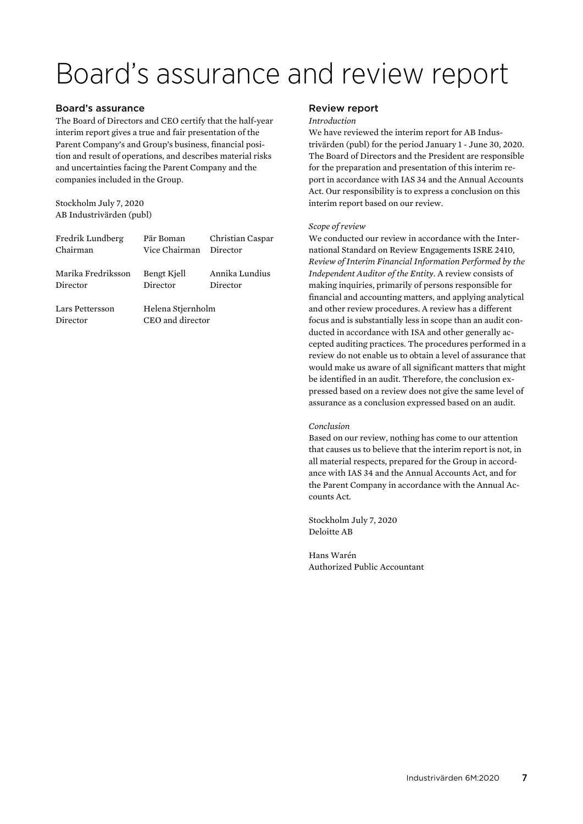# Board's assurance and review report

### Board's assurance

The Board of Directors and CEO certify that the half-year interim report gives a true and fair presentation of the Parent Company's and Group's business, financial position and result of operations, and describes material risks and uncertainties facing the Parent Company and the companies included in the Group.

Stockholm July 7, 2020 AB Industrivärden (publ)

| Fredrik Lundberg            | Pär Boman                             | Christian Caspar |
|-----------------------------|---------------------------------------|------------------|
| Chairman                    | Vice Chairman                         | Director         |
| Marika Fredriksson          | Bengt Kjell                           | Annika Lundius   |
| Director                    | Director                              | Director         |
| Lars Pettersson<br>Director | Helena Stjernholm<br>CEO and director |                  |

### Review report

#### *Introduction*

We have reviewed the interim report for AB Industrivärden (publ) for the period January 1 - June 30, 2020. The Board of Directors and the President are responsible for the preparation and presentation of this interim report in accordance with IAS 34 and the Annual Accounts Act. Our responsibility is to express a conclusion on this interim report based on our review.

#### *Scope of review*

We conducted our review in accordance with the International Standard on Review Engagements ISRE 2410, *Review of Interim Financial Information Performed by the Independent Auditor of the Entity.* A review consists of making inquiries, primarily of persons responsible for financial and accounting matters, and applying analytical and other review procedures. A review has a different focus and is substantially less in scope than an audit conducted in accordance with ISA and other generally accepted auditing practices. The procedures performed in a review do not enable us to obtain a level of assurance that would make us aware of all significant matters that might be identified in an audit. Therefore, the conclusion expressed based on a review does not give the same level of assurance as a conclusion expressed based on an audit.

#### *Conclusion*

Based on our review, nothing has come to our attention that causes us to believe that the interim report is not, in all material respects, prepared for the Group in accordance with IAS 34 and the Annual Accounts Act, and for the Parent Company in accordance with the Annual Accounts Act.

Stockholm July 7, 2020 Deloitte AB

Hans Warén Authorized Public Accountant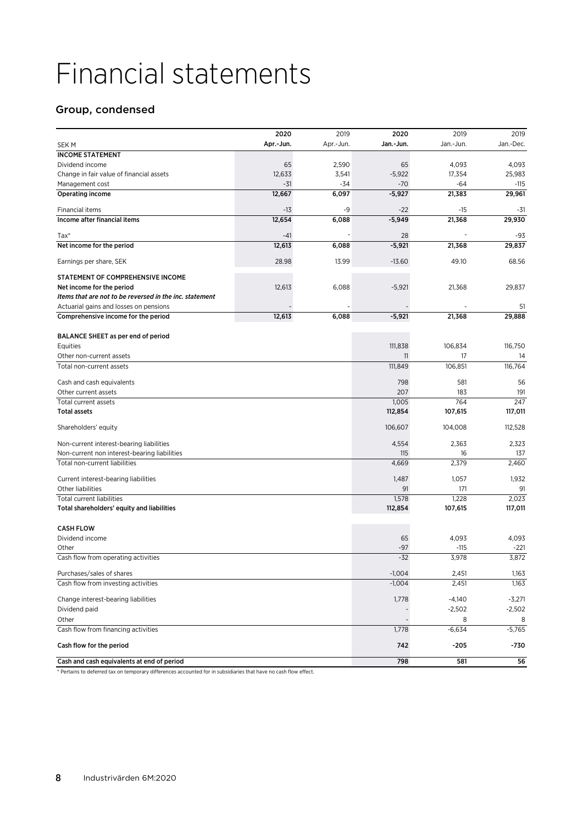# Financial statements

# Group, condensed

|                                                         | 2020      | 2019      | 2020      | 2019      | 2019      |
|---------------------------------------------------------|-----------|-----------|-----------|-----------|-----------|
| <b>SEKM</b>                                             | Apr.-Jun. | Apr.-Jun. | Jan.-Jun. | Jan.-Jun. | Jan.-Dec. |
| <b>INCOME STATEMENT</b>                                 |           |           |           |           |           |
| Dividend income                                         | 65        | 2,590     | 65        | 4,093     | 4,093     |
| Change in fair value of financial assets                | 12,633    | 3,541     | $-5,922$  | 17,354    | 25,983    |
| Management cost                                         | -31       | -34       | -70       | -64       | -115      |
| Operating income                                        | 12,667    | 6,097     | $-5,927$  | 21,383    | 29,961    |
|                                                         |           |           |           |           |           |
| Financial items                                         | $-13$     | -9        | $-22$     | -15       | -31       |
| Income after financial items                            | 12,654    | 6,088     | $-5,949$  | 21,368    | 29,930    |
| $Tax*$                                                  | $-41$     |           | 28        |           | -93       |
| Net income for the period                               | 12,613    | 6,088     | $-5,921$  | 21,368    | 29,837    |
|                                                         |           |           |           |           |           |
| Earnings per share, SEK                                 | 28.98     | 13.99     | $-13.60$  | 49.10     | 68.56     |
| STATEMENT OF COMPREHENSIVE INCOME                       |           |           |           |           |           |
| Net income for the period                               | 12,613    | 6,088     | $-5,921$  | 21,368    | 29,837    |
| Items that are not to be reversed in the inc. statement |           |           |           |           |           |
| Actuarial gains and losses on pensions                  |           |           |           |           | 51        |
| Comprehensive income for the period                     | 12,613    | 6,088     | $-5,921$  | 21,368    | 29,888    |
|                                                         |           |           |           |           |           |
| BALANCE SHEET as per end of period                      |           |           |           |           |           |
| Equities                                                |           |           | 111,838   | 106,834   | 116,750   |
| Other non-current assets                                |           |           | 11        | 17        | 14        |
| Total non-current assets                                |           |           | 111,849   | 106,851   | 116,764   |
| Cash and cash equivalents                               |           |           | 798       | 581       | 56        |
| Other current assets                                    |           |           | 207       | 183       | 191       |
| Total current assets                                    |           |           | 1,005     | 764       | 247       |
| <b>Total assets</b>                                     |           |           | 112,854   | 107,615   | 117,011   |
| Shareholders' equity                                    |           |           | 106,607   | 104,008   | 112,528   |
| Non-current interest-bearing liabilities                |           |           | 4,554     | 2,363     | 2,323     |
| Non-current non interest-bearing liabilities            |           |           | 115       | 16        | 137       |
| Total non-current liabilities                           |           |           | 4,669     | 2,379     | 2,460     |
|                                                         |           |           |           |           |           |
| Current interest-bearing liabilities                    |           |           | 1,487     | 1,057     | 1,932     |
| Other liabilities                                       |           |           | 91        | 171       | 91        |
| <b>Total current liabilities</b>                        |           |           | 1,578     | 1,228     | 2,023     |
| Total shareholders' equity and liabilities              |           |           | 112,854   | 107,615   | 117,011   |
| <b>CASH FLOW</b>                                        |           |           |           |           |           |
| Dividend income                                         |           |           | 65        | 4,093     | 4,093     |
| Other                                                   |           |           | -97       | $-115$    | $-221$    |
| Cash flow from operating activities                     |           |           | $-32$     | 3,978     | 3,872     |
| Purchases/sales of shares                               |           |           | $-1,004$  | 2,451     | 1,163     |
| Cash flow from investing activities                     |           |           | $-1,004$  | 2,451     | 1,163     |
|                                                         |           |           |           |           |           |
| Change interest-bearing liabilities                     |           |           | 1,778     | $-4,140$  | $-3,271$  |
| Dividend paid                                           |           |           |           | $-2,502$  | $-2,502$  |
| Other                                                   |           |           |           | 8         | 8         |
| Cash flow from financing activities                     |           |           | 1,778     | $-6,634$  | $-5,765$  |
| Cash flow for the period                                |           |           | 742       | -205      | -730      |
| Cash and cash equivalents at end of period              |           |           | 798       | 581       | 56        |

\* Pertains to deferred tax on temporary differences accounted for in subsidiaries that have no cash flow effect.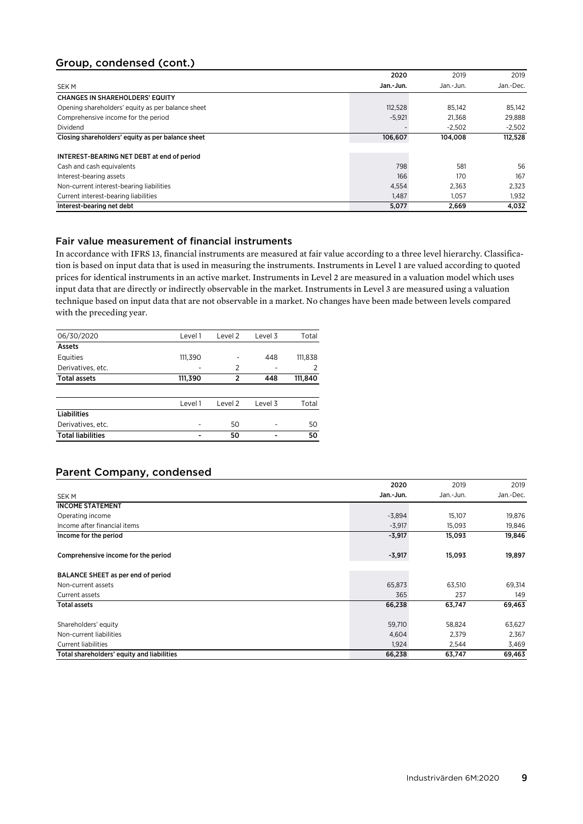# Group, condensed (cont.)

|                                                   | 2020      | 2019      | 2019      |
|---------------------------------------------------|-----------|-----------|-----------|
| <b>SEK M</b>                                      | Jan.-Jun. | Jan.-Jun. | Jan.-Dec. |
| <b>CHANGES IN SHAREHOLDERS' EQUITY</b>            |           |           |           |
| Opening shareholders' equity as per balance sheet | 112.528   | 85.142    | 85,142    |
| Comprehensive income for the period               | $-5,921$  | 21.368    | 29,888    |
| Dividend                                          |           | $-2.502$  | $-2,502$  |
| Closing shareholders' equity as per balance sheet | 106,607   | 104,008   | 112,528   |
|                                                   |           |           |           |
| INTEREST-BEARING NET DEBT at end of period        |           |           |           |
| Cash and cash equivalents                         | 798       | 581       | 56        |
| Interest-bearing assets                           | 166       | 170       | 167       |
| Non-current interest-bearing liabilities          | 4,554     | 2.363     | 2,323     |
| Current interest-bearing liabilities              | 1.487     | 1.057     | 1,932     |
| Interest-bearing net debt                         | 5,077     | 2,669     | 4,032     |

## Fair value measurement of financial instruments

In accordance with IFRS 13, financial instruments are measured at fair value according to a three level hierarchy. Classification is based on input data that is used in measuring the instruments. Instruments in Level 1 are valued according to quoted prices for identical instruments in an active market. Instruments in Level 2 are measured in a valuation model which uses input data that are directly or indirectly observable in the market. Instruments in Level 3 are measured using a valuation technique based on input data that are not observable in a market. No changes have been made between levels compared with the preceding year.

| 06/30/2020               | Level 1 | Level 2        | Level 3 | Total   |
|--------------------------|---------|----------------|---------|---------|
| Assets                   |         |                |         |         |
| Equities                 | 111,390 | -              | 448     | 111,838 |
| Derivatives, etc.        |         | $\overline{2}$ | -       | 2       |
| <b>Total assets</b>      | 111,390 | $\mathfrak z$  | 448     | 111,840 |
|                          |         |                |         |         |
|                          | Level 1 | Level 2        | Level 3 | Total   |
| <b>Liabilities</b>       |         |                |         |         |
| Derivatives, etc.        |         | 50             |         | 50      |
| <b>Total liabilities</b> |         | 50             |         | 50      |

# Parent Company, condensed

|                                            | 2020      | 2019      | 2019      |
|--------------------------------------------|-----------|-----------|-----------|
| SEK M                                      | Jan.-Jun. | Jan.-Jun. | Jan.-Dec. |
| <b>INCOME STATEMENT</b>                    |           |           |           |
| Operating income                           | $-3,894$  | 15,107    | 19,876    |
| Income after financial items               | $-3,917$  | 15,093    | 19,846    |
| Income for the period                      | $-3,917$  | 15,093    | 19,846    |
| Comprehensive income for the period        | $-3,917$  | 15,093    | 19,897    |
| BALANCE SHEET as per end of period         |           |           |           |
| Non-current assets                         | 65,873    | 63,510    | 69,314    |
| Current assets                             | 365       | 237       | 149       |
| <b>Total assets</b>                        | 66,238    | 63,747    | 69,463    |
| Shareholders' equity                       | 59,710    | 58,824    | 63,627    |
| Non-current liabilities                    | 4,604     | 2.379     | 2,367     |
| <b>Current liabilities</b>                 | 1,924     | 2,544     | 3,469     |
| Total shareholders' equity and liabilities | 66,238    | 63,747    | 69,463    |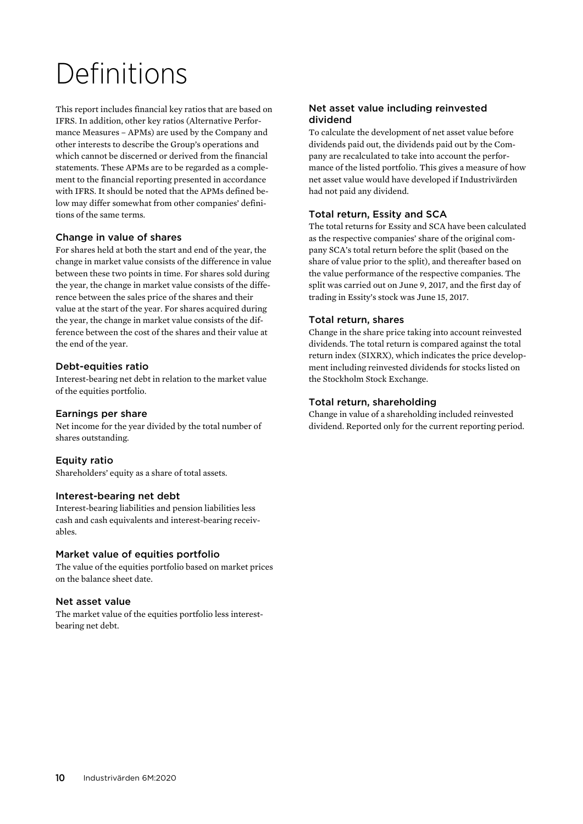# Definitions

This report includes financial key ratios that are based on IFRS. In addition, other key ratios (Alternative Performance Measures – APMs) are used by the Company and other interests to describe the Group's operations and which cannot be discerned or derived from the financial statements. These APMs are to be regarded as a complement to the financial reporting presented in accordance with IFRS. It should be noted that the APMs defined below may differ somewhat from other companies' definitions of the same terms.

# Change in value of shares

For shares held at both the start and end of the year, the change in market value consists of the difference in value between these two points in time. For shares sold during the year, the change in market value consists of the difference between the sales price of the shares and their value at the start of the year. For shares acquired during the year, the change in market value consists of the difference between the cost of the shares and their value at the end of the year.

## Debt-equities ratio

Interest-bearing net debt in relation to the market value of the equities portfolio.

### Earnings per share

Net income for the year divided by the total number of shares outstanding.

# Equity ratio

Shareholders' equity as a share of total assets.

#### Interest-bearing net debt

Interest-bearing liabilities and pension liabilities less cash and cash equivalents and interest-bearing receivables.

#### Market value of equities portfolio

The value of the equities portfolio based on market prices on the balance sheet date.

#### Net asset value

The market value of the equities portfolio less interestbearing net debt.

## Net asset value including reinvested dividend

To calculate the development of net asset value before dividends paid out, the dividends paid out by the Company are recalculated to take into account the performance of the listed portfolio. This gives a measure of how net asset value would have developed if Industrivärden had not paid any dividend.

# Total return, Essity and SCA

The total returns for Essity and SCA have been calculated as the respective companies' share of the original company SCA's total return before the split (based on the share of value prior to the split), and thereafter based on the value performance of the respective companies. The split was carried out on June 9, 2017, and the first day of trading in Essity's stock was June 15, 2017.

## Total return, shares

Change in the share price taking into account reinvested dividends. The total return is compared against the total return index (SIXRX), which indicates the price development including reinvested dividends for stocks listed on the Stockholm Stock Exchange.

## Total return, shareholding

Change in value of a shareholding included reinvested dividend. Reported only for the current reporting period.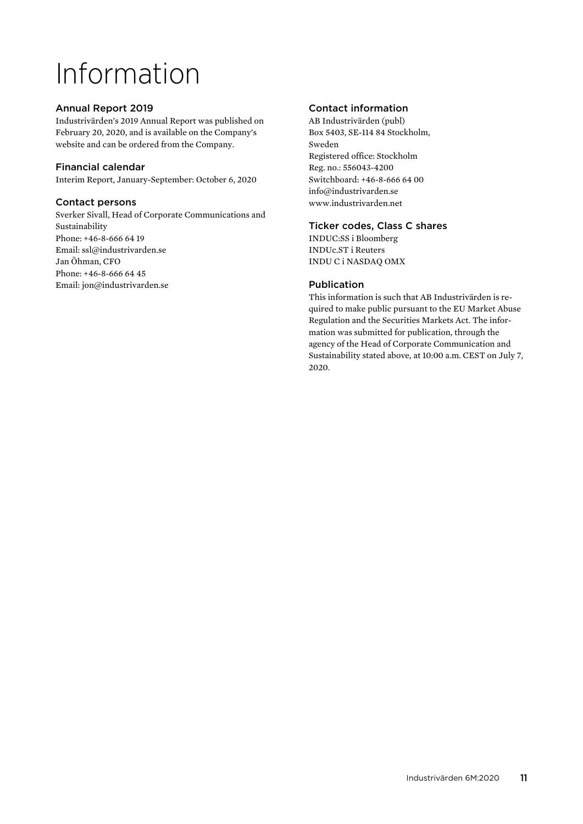# Information

# Annual Report 2019

Industrivärden's 2019 Annual Report was published on February 20, 2020, and is available on the Company's website and can be ordered from the Company.

# Financial calendar

Interim Report, January-September: October 6, 2020

# Contact persons

Sverker Sivall, Head of Corporate Communications and Sustainability Phone: +46-8-666 64 19 Email: ssl@industrivarden.se Jan Öhman, CFO Phone: +46-8-666 64 45 Email: jon@industrivarden.se

# Contact information

AB Industrivärden (publ) Box 5403, SE-114 84 Stockholm, Sweden Registered office: Stockholm Reg. no.: 556043-4200 Switchboard: +46-8-666 64 00 info@industrivarden.se www.industrivarden.net

## Ticker codes, Class C shares

INDUC:SS i Bloomberg INDUc.ST i Reuters INDU C i NASDAQ OMX

# Publication

This information is such that AB Industrivärden is required to make public pursuant to the EU Market Abuse Regulation and the Securities Markets Act. The information was submitted for publication, through the agency of the Head of Corporate Communication and Sustainability stated above, at 10:00 a.m. CEST on July 7, 2020.